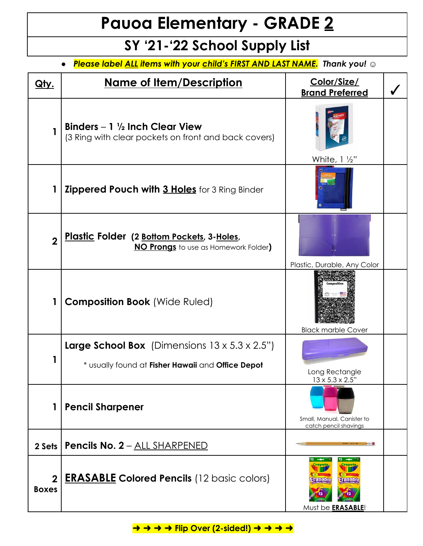## **Pauoa Elementary - GRADE 2**

## **SY '21-'22 School Supply List**

*● Please label ALL items with your child's FIRST AND LAST NAME. Thank you! ☺*

| <u>Qty.</u>                  | <u>Name of Item/Description</u>                                                                                        | Color/Size/<br><b>Brand Preferred</b>                                |  |
|------------------------------|------------------------------------------------------------------------------------------------------------------------|----------------------------------------------------------------------|--|
|                              | Binders $-1 \frac{1}{2}$ Inch Clear View<br>(3 Ring with clear pockets on front and back covers)                       | White, $1\frac{1}{2}$ "                                              |  |
|                              | <b>Zippered Pouch with 3 Holes</b> for 3 Ring Binder                                                                   |                                                                      |  |
| $\overline{2}$               | Plastic Folder (2 Bottom Pockets, 3-Holes,<br><b>NO Prongs</b> to use as Homework Folder)                              | Plastic, Durable, Any Color                                          |  |
| 1                            | <b>Composition Book</b> (Wide Ruled)                                                                                   | <b>Black marble Cover</b>                                            |  |
|                              | <b>Large School Box</b> (Dimensions $13 \times 5.3 \times 2.5$ ")<br>* usually found at Fisher Hawaii and Office Depot | Long Rectangle<br>$13 \times 5.3 \times 2.5$ "                       |  |
|                              | <b>Pencil Sharpener</b>                                                                                                | Small, Manual, Canister to<br>catch pencil shavings                  |  |
| 2 Sets                       | <b>Pencils No. 2 - ALL SHARPENED</b>                                                                                   |                                                                      |  |
| $\mathbf{2}$<br><b>Boxes</b> | <b>ERASABLE Colored Pencils (12 basic colors)</b>                                                                      | $12 - -$<br>$12 \,$<br>Crayola<br>rasabi<br>Must be <b>ERASABLE!</b> |  |

**→ → → → Flip Over (2-sided!) → → → →**